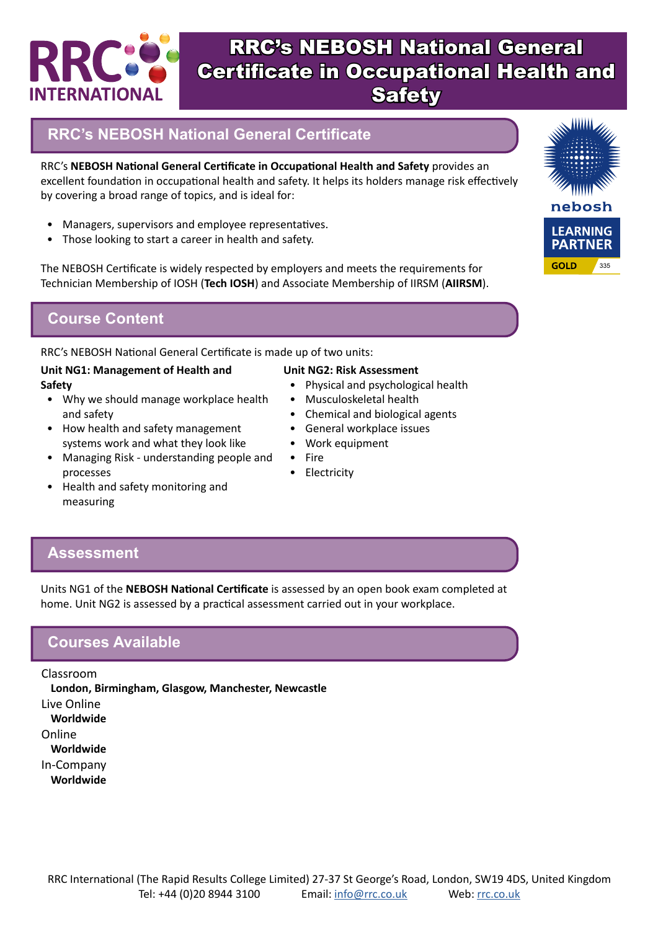

## **RRC's NEBOSH National General Certificate**

RRC's **NEBOSH National General Certificate in Occupational Health and Safety** provides an excellent foundation in occupational health and safety. It helps its holders manage risk effectively by covering a broad range of topics, and is ideal for:

- Managers, supervisors and employee representatives.
- Those looking to start a career in health and safety.

The NEBOSH Certificate is widely respected by employers and meets the requirements for Technician Membership of IOSH (**Tech IOSH**) and Associate Membership of IIRSM (**AIIRSM**).

### **Course Content**

RRC's NEBOSH National General Certificate is made up of two units:

#### **Unit NG1: Management of Health and Safety**

- Why we should manage workplace health and safety
- How health and safety management systems work and what they look like
- Managing Risk understanding people and processes
- Health and safety monitoring and measuring

#### **Unit NG2: Risk Assessment**

- Physical and psychological health
- Musculoskeletal health
- Chemical and biological agents
- General workplace issues
- Work equipment
- Fire
- Electricity

**Assessment**

Units NG1 of the **NEBOSH National Certificate** is assessed by an open book exam completed at home. Unit NG2 is assessed by a practical assessment carried out in your workplace.

### **Courses Available**

Classroom

**London, Birmingham, Glasgow, Manchester, Newcastle** Live Online **Worldwide** Online **Worldwide** In-Company **Worldwide**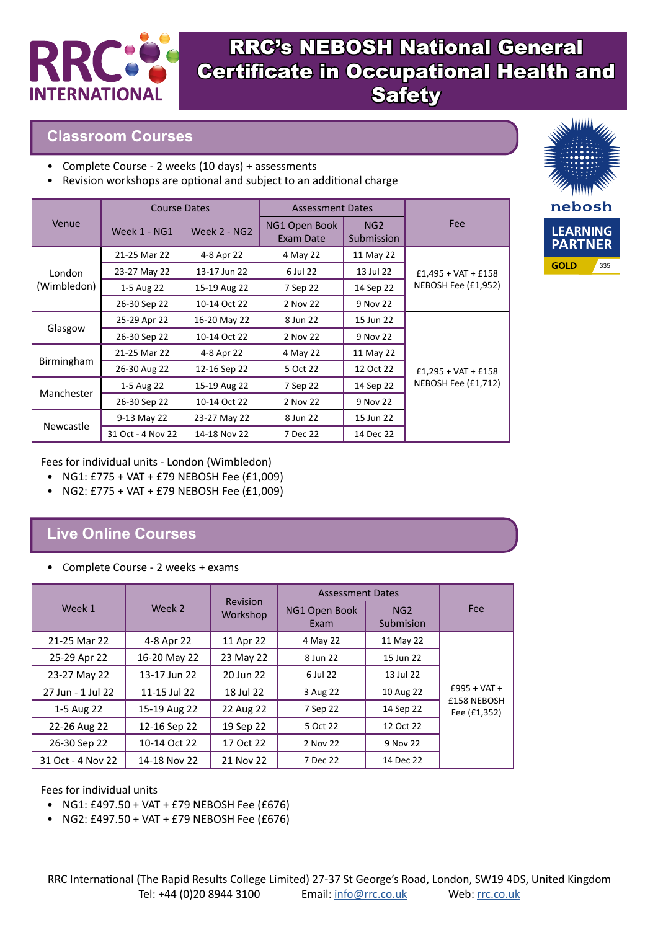

#### **Classroom Courses**

- Complete Course 2 weeks (10 days) + assessments
- Revision workshops are optional and subject to an additional charge

|             | <b>Course Dates</b> |              | <b>Assessment Dates</b>    |                   |                       |
|-------------|---------------------|--------------|----------------------------|-------------------|-----------------------|
| Venue       | Week 1 - NG1        | Week 2 - NG2 | NG1 Open Book<br>Exam Date | NG2<br>Submission | Fee                   |
|             | 21-25 Mar 22        | 4-8 Apr 22   | 4 May 22                   | 11 May 22         |                       |
| London      | 23-27 May 22        | 13-17 Jun 22 | 6 Jul 22                   | 13 Jul 22         | $£1,495 + VAT + £158$ |
| (Wimbledon) | 1-5 Aug 22          | 15-19 Aug 22 | 7 Sep 22                   | 14 Sep 22         | NEBOSH Fee (£1,952)   |
|             | 26-30 Sep 22        | 10-14 Oct 22 | 2 Nov 22                   | 9 Nov 22          |                       |
| Glasgow     | 25-29 Apr 22        | 16-20 May 22 | 8 Jun 22                   | 15 Jun 22         |                       |
|             | 26-30 Sep 22        | 10-14 Oct 22 | 2 Nov 22                   | 9 Nov 22          |                       |
| Birmingham  | 21-25 Mar 22        | 4-8 Apr 22   | 4 May 22                   | 11 May 22         |                       |
|             | 26-30 Aug 22        | 12-16 Sep 22 | 5 Oct 22                   | 12 Oct 22         | $£1,295 + VAT + £158$ |
| Manchester  | 1-5 Aug 22          | 15-19 Aug 22 | 7 Sep 22                   | 14 Sep 22         | NEBOSH Fee (£1,712)   |
|             | 26-30 Sep 22        | 10-14 Oct 22 | 2 Nov 22                   | 9 Nov 22          |                       |
| Newcastle   | 9-13 May 22         | 23-27 May 22 | 8 Jun 22                   | 15 Jun 22         |                       |
|             | 31 Oct - 4 Nov 22   | 14-18 Nov 22 | 7 Dec 22                   | 14 Dec 22         |                       |



Fees for individual units - London (Wimbledon)

- NG1: £775 + VAT + £79 NEBOSH Fee (£1,009)
- NG2: £775 + VAT + £79 NEBOSH Fee (£1,009)

## **Live Online Courses**

• Complete Course - 2 weeks + exams

|                   |              | Revision<br>Workshop | <b>Assessment Dates</b> |                  |                             |
|-------------------|--------------|----------------------|-------------------------|------------------|-----------------------------|
| Week 1            | Week 2       |                      | NG1 Open Book<br>Exam   | NG2<br>Submision | <b>Fee</b>                  |
| 21-25 Mar 22      | 4-8 Apr 22   | 11 Apr 22            | 4 May 22                | 11 May 22        |                             |
| 25-29 Apr 22      | 16-20 May 22 | 23 May 22            | 8 Jun 22                | 15 Jun 22        |                             |
| 23-27 May 22      | 13-17 Jun 22 | 20 Jun 22            | 6 Jul 22                | 13 Jul 22        |                             |
| 27 Jun - 1 Jul 22 | 11-15 Jul 22 | 18 Jul 22            | 3 Aug 22                | 10 Aug 22        | $£995 + VAT +$              |
| 1-5 Aug 22        | 15-19 Aug 22 | 22 Aug 22            | 7 Sep 22                | 14 Sep 22        | £158 NEBOSH<br>Fee (£1,352) |
| 22-26 Aug 22      | 12-16 Sep 22 | 19 Sep 22            | 5 Oct 22                | 12 Oct 22        |                             |
| 26-30 Sep 22      | 10-14 Oct 22 | 17 Oct 22            | 2 Nov 22                | 9 Nov 22         |                             |
| 31 Oct - 4 Nov 22 | 14-18 Nov 22 | 21 Nov 22            | 7 Dec 22                | 14 Dec 22        |                             |

Fees for individual units

- NG1: £497.50 + VAT + £79 NEBOSH Fee (£676)
- NG2: £497.50 + VAT + £79 NEBOSH Fee (£676)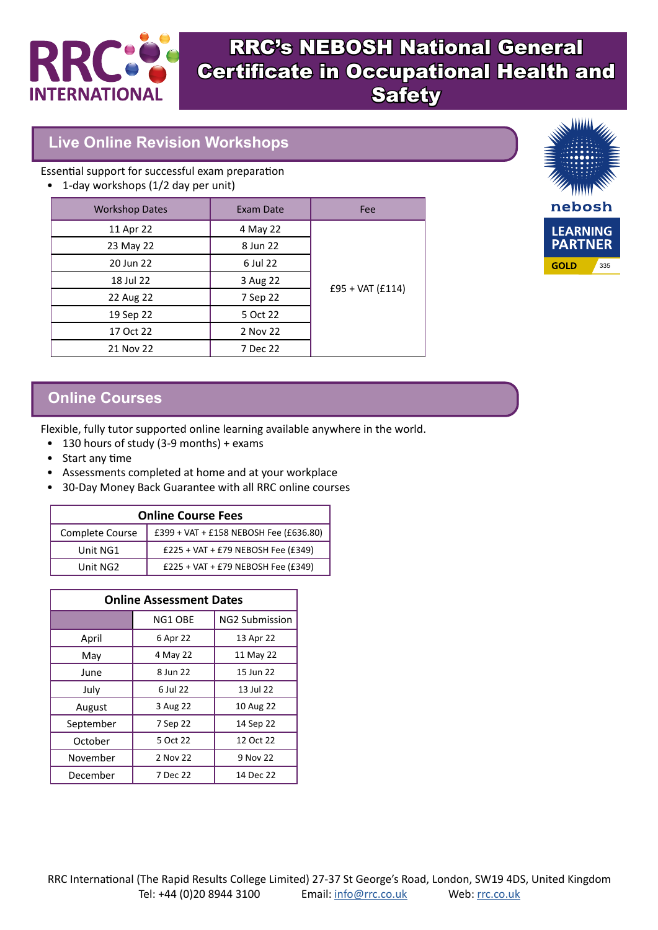

### **Live Online Revision Workshops**

Essential support for successful exam preparation

• 1-day workshops (1/2 day per unit)

| <b>Workshop Dates</b> | Exam Date | Fee                |
|-----------------------|-----------|--------------------|
| 11 Apr 22             | 4 May 22  |                    |
| 23 May 22             | 8 Jun 22  |                    |
| 20 Jun 22             | 6 Jul 22  |                    |
| 18 Jul 22             | 3 Aug 22  |                    |
| 22 Aug 22             | 7 Sep 22  | $£95 + VAT (£114)$ |
| 19 Sep 22             | 5 Oct 22  |                    |
| 17 Oct 22             | 2 Nov 22  |                    |
| 21 Nov 22             | 7 Dec 22  |                    |



### **Online Courses**

Flexible, fully tutor supported online learning available anywhere in the world.

- 130 hours of study (3-9 months) + exams
- Start any time
- Assessments completed at home and at your workplace
- 30-Day Money Back Guarantee with all RRC online courses

| <b>Online Course Fees</b> |                                        |  |  |
|---------------------------|----------------------------------------|--|--|
| Complete Course           | £399 + VAT + £158 NEBOSH Fee (£636.80) |  |  |
| Unit NG1                  | $£225 + VAT + £79 NEBOSH Free (£349)$  |  |  |
| Unit NG2                  | £225 + VAT + £79 NEBOSH Fee (£349)     |  |  |

| <b>Online Assessment Dates</b> |          |                       |  |
|--------------------------------|----------|-----------------------|--|
|                                | NG1 OBE  | <b>NG2 Submission</b> |  |
| April                          | 6 Apr 22 | 13 Apr 22             |  |
| May                            | 4 May 22 | 11 May 22             |  |
| June                           | 8 Jun 22 | 15 Jun 22             |  |
| July                           | 6 Jul 22 | 13 Jul 22             |  |
| August                         | 3 Aug 22 | 10 Aug 22             |  |
| September                      | 7 Sep 22 | 14 Sep 22             |  |
| October                        | 5 Oct 22 | 12 Oct 22             |  |
| November                       | 2 Nov 22 | 9 Nov 22              |  |
| December                       | 7 Dec 22 | 14 Dec 22             |  |